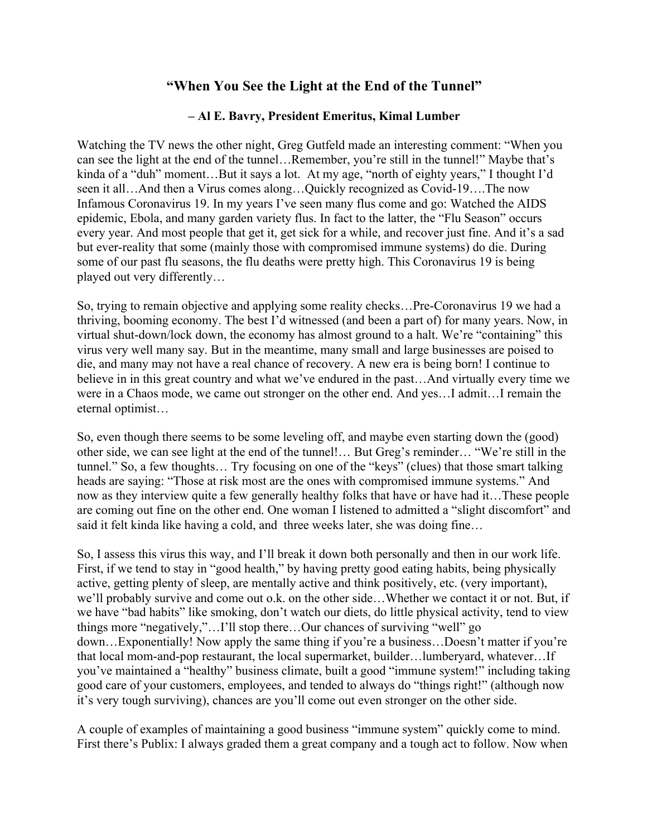## **"When You See the Light at the End of the Tunnel"**

## **– Al E. Bavry, President Emeritus, Kimal Lumber**

Watching the TV news the other night, Greg Gutfeld made an interesting comment: "When you can see the light at the end of the tunnel…Remember, you're still in the tunnel!" Maybe that's kinda of a "duh" moment…But it says a lot. At my age, "north of eighty years," I thought I'd seen it all…And then a Virus comes along…Quickly recognized as Covid-19….The now Infamous Coronavirus 19. In my years I've seen many flus come and go: Watched the AIDS epidemic, Ebola, and many garden variety flus. In fact to the latter, the "Flu Season" occurs every year. And most people that get it, get sick for a while, and recover just fine. And it's a sad but ever-reality that some (mainly those with compromised immune systems) do die. During some of our past flu seasons, the flu deaths were pretty high. This Coronavirus 19 is being played out very differently…

So, trying to remain objective and applying some reality checks…Pre-Coronavirus 19 we had a thriving, booming economy. The best I'd witnessed (and been a part of) for many years. Now, in virtual shut-down/lock down, the economy has almost ground to a halt. We're "containing" this virus very well many say. But in the meantime, many small and large businesses are poised to die, and many may not have a real chance of recovery. A new era is being born! I continue to believe in in this great country and what we've endured in the past…And virtually every time we were in a Chaos mode, we came out stronger on the other end. And yes…I admit…I remain the eternal optimist…

So, even though there seems to be some leveling off, and maybe even starting down the (good) other side, we can see light at the end of the tunnel!… But Greg's reminder… "We're still in the tunnel." So, a few thoughts… Try focusing on one of the "keys" (clues) that those smart talking heads are saying: "Those at risk most are the ones with compromised immune systems." And now as they interview quite a few generally healthy folks that have or have had it…These people are coming out fine on the other end. One woman I listened to admitted a "slight discomfort" and said it felt kinda like having a cold, and three weeks later, she was doing fine…

So, I assess this virus this way, and I'll break it down both personally and then in our work life. First, if we tend to stay in "good health," by having pretty good eating habits, being physically active, getting plenty of sleep, are mentally active and think positively, etc. (very important), we'll probably survive and come out o.k. on the other side…Whether we contact it or not. But, if we have "bad habits" like smoking, don't watch our diets, do little physical activity, tend to view things more "negatively,"…I'll stop there…Our chances of surviving "well" go down…Exponentially! Now apply the same thing if you're a business…Doesn't matter if you're that local mom-and-pop restaurant, the local supermarket, builder…lumberyard, whatever…If you've maintained a "healthy" business climate, built a good "immune system!" including taking good care of your customers, employees, and tended to always do "things right!" (although now it's very tough surviving), chances are you'll come out even stronger on the other side.

A couple of examples of maintaining a good business "immune system" quickly come to mind. First there's Publix: I always graded them a great company and a tough act to follow. Now when